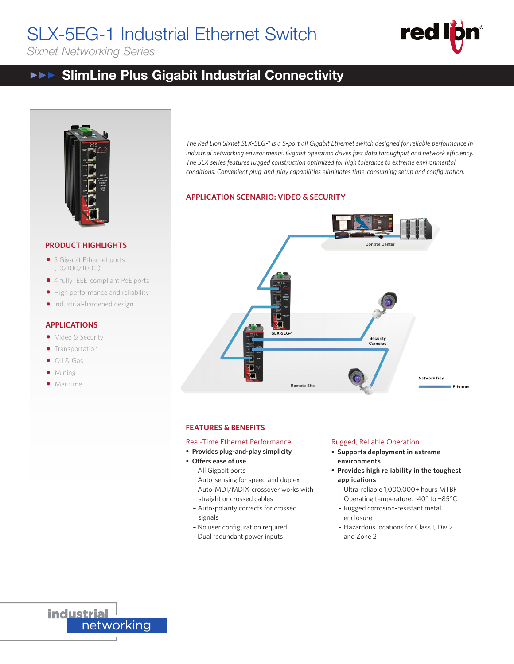# SLX-5EG-1 Industrial Ethernet Switch

*Sixnet Networking Series*



## SlimLine Plus Gigabit Industrial Connectivity  $\blacktriangleright \blacktriangleright \blacktriangleright$ **SCARFING SCITTECTIVITY**



# **PRODUCT HIGHLIGHTS**

- **•** 5 Gigabit Ethernet ports (10/100/1000)
- 4 fully IEEE-compliant PoE ports
- High performance and reliability
- Industrial-hardened design

# **APPLICATIONS**

- Video & Security
- **•** Transportation
- Oil & Gas
- Mining
- Maritime



## **APPLICATION SCENARIO: VIDEO & SECURITY**



## **FEATURES & BENEFITS**

## Real-Time Ethernet Performance

- **• Provides plug-and-play simplicity**
- **• Offers ease of use**
	- All Gigabit ports
	- Auto-sensing for speed and duplex
	- Auto-MDI/MDIX-crossover works with straight or crossed cables
	- Auto-polarity corrects for crossed signals
	- No user configuration required
	- Dual redundant power inputs

### Rugged, Reliable Operation

- **• Supports deployment in extreme environments**
- **• Provides high reliability in the toughest applications**
	- Ultra-reliable 1,000,000+ hours MTBF
	- Operating temperature: -40° to +85°C
	- Rugged corrosion-resistant metal enclosure
	- Hazardous locations for Class I, Div 2 and Zone 2

**industrial** networking